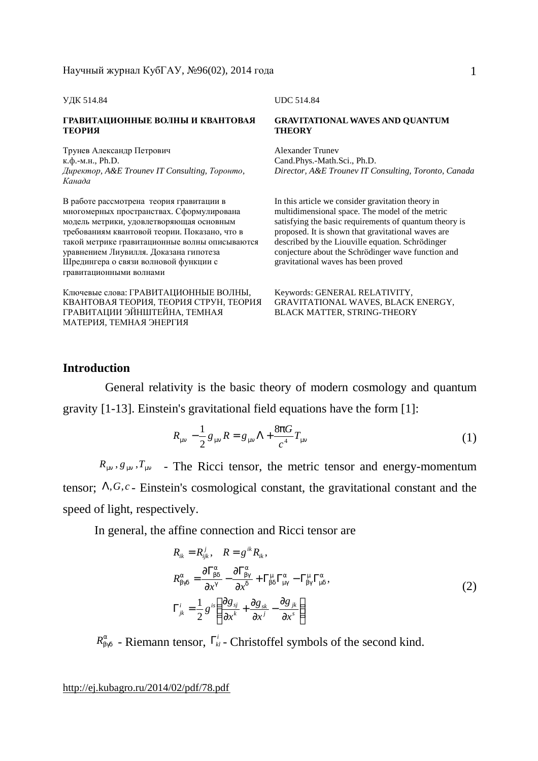#### УДК 514.84 UDC 514.84

#### **ГРАВИТАЦИОННЫЕ ВОЛНЫ И КВАНТОВАЯ ТЕОРИЯ**

Трунев Александр Петрович к.ф.-м.н., Ph.D. *Директор, A&E Trounev IT Consulting, Торонто, Канада*

В работе рассмотрена теория гравитации в многомерных пространствах. Сформулирована модель метрики, удовлетворяющая основным требованиям квантовой теории. Показано, что в такой метрике гравитационные волны описываются уравнением Лиувилля. Доказана гипотеза Шредингера о связи волновой функции с гравитационными волнами

Ключевые слова: ГРАВИТАЦИОННЫЕ ВОЛНЫ, КВАНТОВАЯ ТЕОРИЯ, ТЕОРИЯ СТРУН, ТЕОРИЯ ГРАВИТАЦИИ ЭЙНШТЕЙНА, ТЕМНАЯ МАТЕРИЯ, ТЕМНАЯ ЭНЕРГИЯ

#### **GRAVITATIONALWAVES AND QUANTUM THEORY**

Alexander Trunev Cand.Phys.-Math.Sci., Ph.D. *Director, A&E Trounev IT Consulting, Toronto, Canada* 

In this article we consider gravitation theory in multidimensional space. The model of the metric satisfying the basic requirements of quantum theory is proposed. It is shown that gravitational waves are described by the Liouville equation. Schrödinger conjecture about the Schrödinger wave function and gravitational waves has been proved

Keywords: GENERAL RELATIVITY, GRAVITATIONAL WAVES, BLACK ENERGY, BLACK MATTER, STRING-THEORY

### **Introduction**

 General relativity is the basic theory of modern cosmology and quantum gravity [1-13]. Einstein's gravitational field equations have the form [1]:

$$
R_{mn} - \frac{1}{2} g_{mn} R = g_{mn} \Lambda + \frac{8pG}{c^4} T_{mn}
$$
 (1)

 $R_{mn}$ ,  $g_{mn}$ ,  $T_{mn}$  - The Ricci tensor, the metric tensor and energy-momentum tensor; Λ,*G*,*c* - Einstein's cosmological constant, the gravitational constant and the speed of light, respectively.

In general, the affine connection and Ricci tensor are

$$
R_{ik} = R_{ijk}^{j}, \quad R = g^{ik} R_{ik},
$$
  
\n
$$
R_{bgd}^{a} = \frac{\partial \Gamma_{bd}^{a}}{\partial x^{g}} - \frac{\partial \Gamma_{bg}^{a}}{\partial x^{d}} + \Gamma_{bd}^{m} \Gamma_{mg}^{a} - \Gamma_{bg}^{m} \Gamma_{md}^{a},
$$
  
\n
$$
\Gamma_{jk}^{i} = \frac{1}{2} g^{is} \left( \frac{\partial g_{sj}}{\partial x^{k}} + \frac{\partial g_{sk}}{\partial x^{j}} - \frac{\partial g_{jk}}{\partial x^{s}} \right)
$$
\n(2)

 $R_{bgd}^a$  - Riemann tensor,  $\Gamma_{kl}^i$  - Christoffel symbols of the second kind.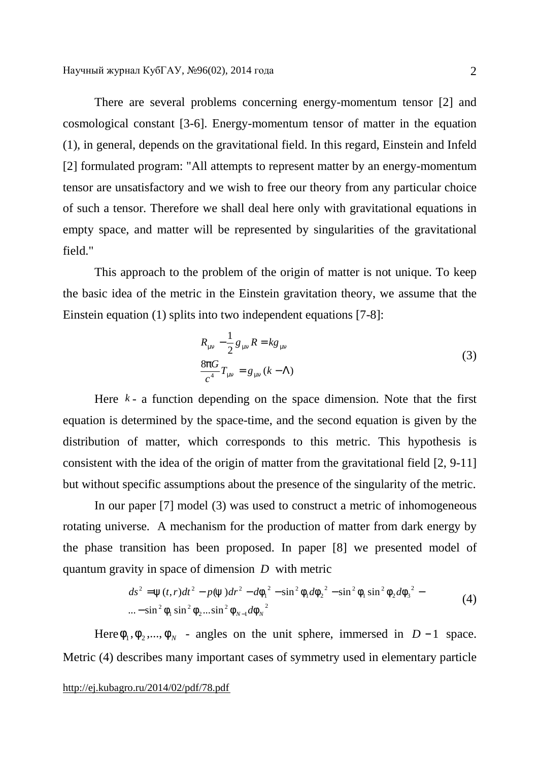There are several problems concerning energy-momentum tensor [2] and cosmological constant [3-6]. Energy-momentum tensor of matter in the equation (1), in general, depends on the gravitational field. In this regard, Einstein and Infeld [2] formulated program: "All attempts to represent matter by an energy-momentum tensor are unsatisfactory and we wish to free our theory from any particular choice of such a tensor. Therefore we shall deal here only with gravitational equations in empty space, and matter will be represented by singularities of the gravitational field."

This approach to the problem of the origin of matter is not unique. To keep the basic idea of the metric in the Einstein gravitation theory, we assume that the Einstein equation (1) splits into two independent equations [7-8]:

$$
R_{mn} - \frac{1}{2} g_{mn} R = k g_{mn}
$$
  
\n
$$
\frac{8pG}{c^4} T_{mn} = g_{mn} (k - \Lambda)
$$
\n(3)

Here  $k - a$  function depending on the space dimension. Note that the first equation is determined by the space-time, and the second equation is given by the distribution of matter, which corresponds to this metric. This hypothesis is consistent with the idea of the origin of matter from the gravitational field [2, 9-11] but without specific assumptions about the presence of the singularity of the metric.

In our paper [7] model (3) was used to construct a metric of inhomogeneous rotating universe. A mechanism for the production of matter from dark energy by the phase transition has been proposed. In paper [8] we presented model of quantum gravity in space of dimension *D* with metric

$$
ds^{2} = y(t,r)dt^{2} - p(y)dr^{2} - d{f_{1}}^{2} - \sin^{2} f_{1}d{f_{2}}^{2} - \sin^{2} f_{1}\sin^{2} f_{2}d{f_{3}}^{2} - ... - \sin^{2} f_{1}\sin^{2} f_{2}... \sin^{2} f_{N-1}d{f_{N}}^{2}
$$
\n(4)

Here  $f_1, f_2, ..., f_N$  - angles on the unit sphere, immersed in *D* − 1 space. Metric (4) describes many important cases of symmetry used in elementary particle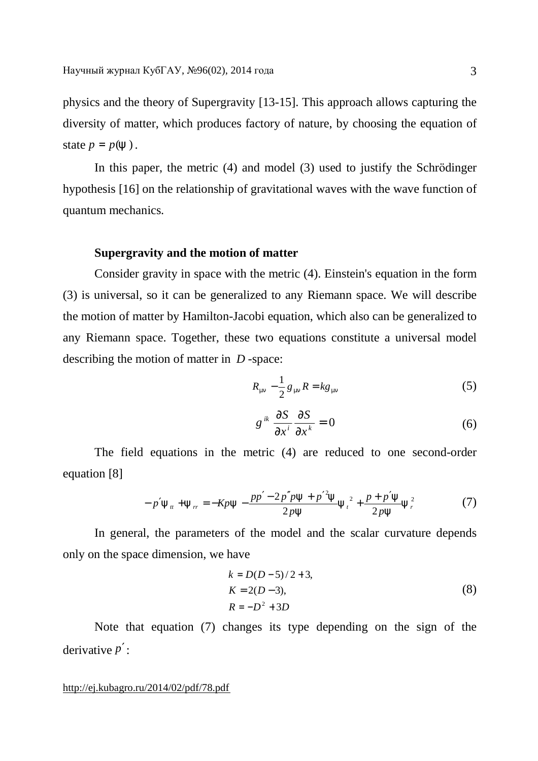physics and the theory of Supergravity [13-15]. This approach allows capturing the diversity of matter, which produces factory of nature, by choosing the equation of state  $p = p(y)$ .

In this paper, the metric (4) and model (3) used to justify the Schrödinger hypothesis [16] on the relationship of gravitational waves with the wave function of quantum mechanics.

## **Supergravity and the motion of matter**

Consider gravity in space with the metric (4). Einstein's equation in the form (3) is universal, so it can be generalized to any Riemann space. We will describe the motion of matter by Hamilton-Jacobi equation, which also can be generalized to any Riemann space. Together, these two equations constitute a universal model describing the motion of matter in *D* -space:

$$
R_{mn} - \frac{1}{2} g_{mn} R = k g_{mn} \tag{5}
$$

$$
g^{ik} \frac{\partial S}{\partial x^i} \frac{\partial S}{\partial x^k} = 0
$$
 (6)

The field equations in the metric (4) are reduced to one second-order equation [8]

$$
-p'y_{tt} + y_{rr} = -Kpy - \frac{pp' - 2p''py + p'^2y}{2py}y_t^2 + \frac{p + p'y}{2py}y_r^2
$$
 (7)

In general, the parameters of the model and the scalar curvature depends only on the space dimension, we have

$$
k = D(D-5)/2 + 3,
$$
  
\n
$$
K = 2(D-3),
$$
  
\n
$$
R = -D^2 + 3D
$$
\n(8)

Note that equation (7) changes its type depending on the sign of the derivative *p*′: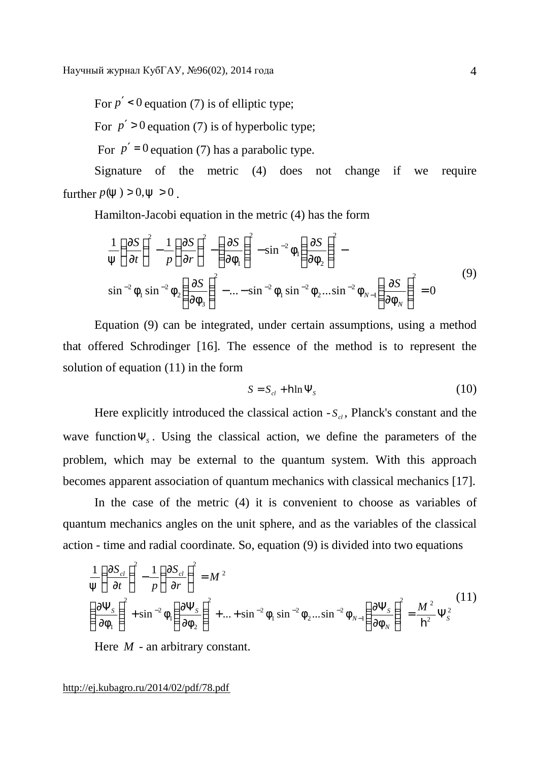For  $p' < 0$  equation (7) is of elliptic type:

For  $p' > 0$  equation (7) is of hyperbolic type;

For  $p' = 0$  equation (7) has a parabolic type.

Signature of the metric (4) does not change if we require further  $p(y) > 0, y > 0$ .

Hamilton-Jacobi equation in the metric (4) has the form

$$
\frac{1}{y} \left(\frac{\partial S}{\partial t}\right)^2 - \frac{1}{p} \left(\frac{\partial S}{\partial r}\right)^2 - \left(\frac{\partial S}{\partial f_1}\right)^2 - \sin^{-2} f_1 \left(\frac{\partial S}{\partial f_2}\right)^2 - \sin^{-2} f_1 \sin^{-2} f_2 \left(\frac{\partial S}{\partial f_3}\right)^2 - \dots - \sin^{-2} f_1 \sin^{-2} f_2 \dots \sin^{-2} f_{N-1} \left(\frac{\partial S}{\partial f_N}\right)^2 = 0
$$
\n(9)

Equation (9) can be integrated, under certain assumptions, using a method that offered Schrodinger [16]. The essence of the method is to represent the solution of equation (11) in the form

$$
S = S_{cl} + \mathbf{h} \ln \Psi_s \tag{10}
$$

Here explicitly introduced the classical action  $-S_{cl}$ , Planck's constant and the wave functionΨ*<sup>S</sup>* . Using the classical action, we define the parameters of the problem, which may be external to the quantum system. With this approach becomes apparent association of quantum mechanics with classical mechanics [17].

In the case of the metric (4) it is convenient to choose as variables of quantum mechanics angles on the unit sphere, and as the variables of the classical action - time and radial coordinate. So, equation (9) is divided into two equations

$$
\frac{1}{y} \left( \frac{\partial S_{cl}}{\partial t} \right)^2 - \frac{1}{p} \left( \frac{\partial S_{cl}}{\partial r} \right)^2 = M^2
$$
\n
$$
\left( \frac{\partial \Psi_s}{\partial f_1} \right)^2 + \sin^{-2} f_1 \left( \frac{\partial \Psi_s}{\partial f_2} \right)^2 + ... + \sin^{-2} f_1 \sin^{-2} f_2 ... \sin^{-2} f_{N-1} \left( \frac{\partial \Psi_s}{\partial f_N} \right)^2 = \frac{M^2}{h^2} \Psi_s^2
$$
\n(11)

Here *M* - an arbitrary constant.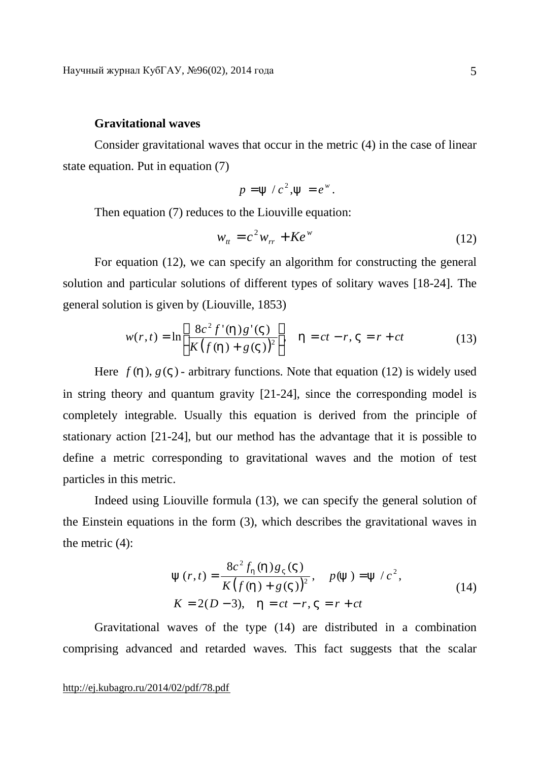## **Gravitational waves**

Consider gravitational waves that occur in the metric (4) in the case of linear state equation. Put in equation (7)

$$
p = y / c^2, y = e^w.
$$

Then equation (7) reduces to the Liouville equation:

$$
w_{tt} = c^2 w_{rr} + Ke^w \tag{12}
$$

For equation (12), we can specify an algorithm for constructing the general solution and particular solutions of different types of solitary waves [18-24]. The general solution is given by (Liouville, 1853)

$$
w(r,t) = \ln\left[\frac{8c^2 f'(h)g'(V)}{K(f(h) + g(V))^2}\right], \quad h = ct - r, V = r + ct \tag{13}
$$

Here  $f(h)$ ,  $g(V)$  - arbitrary functions. Note that equation (12) is widely used in string theory and quantum gravity [21-24], since the corresponding model is completely integrable. Usually this equation is derived from the principle of stationary action [21-24], but our method has the advantage that it is possible to define a metric corresponding to gravitational waves and the motion of test particles in this metric.

Indeed using Liouville formula (13), we can specify the general solution of the Einstein equations in the form (3), which describes the gravitational waves in the metric (4):

$$
y(r,t) = \frac{8c^2 f_h(h)g_V(V)}{K(f(h) + g(V))^2}, \quad p(y) = y/c^2,
$$
  
\n
$$
K = 2(D-3), \quad h = ct - r, \quad V = r + ct
$$
\n(14)

Gravitational waves of the type (14) are distributed in a combination comprising advanced and retarded waves. This fact suggests that the scalar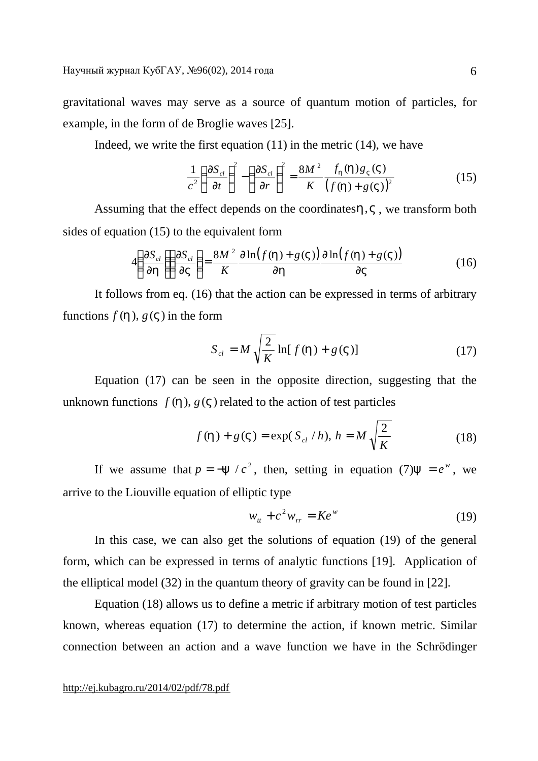gravitational waves may serve as a source of quantum motion of particles, for example, in the form of de Broglie waves [25].

Indeed, we write the first equation  $(11)$  in the metric  $(14)$ , we have

$$
\frac{1}{c^2} \left( \frac{\partial S_{cl}}{\partial t} \right)^2 - \left( \frac{\partial S_{cl}}{\partial r} \right)^2 = \frac{8M^2}{K} \frac{f_h(h)g_V(V)}{\left( f(h) + g(V) \right)^2}
$$
(15)

Assuming that the effect depends on the coordinates*h*,*V* , we transform both sides of equation (15) to the equivalent form

$$
4\left(\frac{\partial S_{cl}}{\partial h}\right)\left(\frac{\partial S_{cl}}{\partial V}\right) = \frac{8M^2}{K} \frac{\partial \ln(f(h) + g(V))}{\partial h} \frac{\partial \ln(f(h) + g(V))}{\partial V}
$$
(16)

It follows from eq. (16) that the action can be expressed in terms of arbitrary functions  $f(h)$ ,  $g(V)$  in the form

$$
S_{cl} = M \sqrt{\frac{2}{K}} \ln[f(h) + g(V)] \tag{17}
$$

Equation (17) can be seen in the opposite direction, suggesting that the unknown functions  $f(h)$ ,  $g(V)$  related to the action of test particles

$$
f(h) + g(V) = \exp(S_{cl} / h), h = M \sqrt{\frac{2}{K}}
$$
 (18)

If we assume that  $p = -y / c^2$ , then, setting in equation (7)  $y = e^w$ , we arrive to the Liouville equation of elliptic type

$$
w_{tt} + c^2 w_{rr} = Ke^w \tag{19}
$$

In this case, we can also get the solutions of equation (19) of the general form, which can be expressed in terms of analytic functions [19]. Application of the elliptical model (32) in the quantum theory of gravity can be found in [22].

Equation (18) allows us to define a metric if arbitrary motion of test particles known, whereas equation (17) to determine the action, if known metric. Similar connection between an action and a wave function we have in the Schrödinger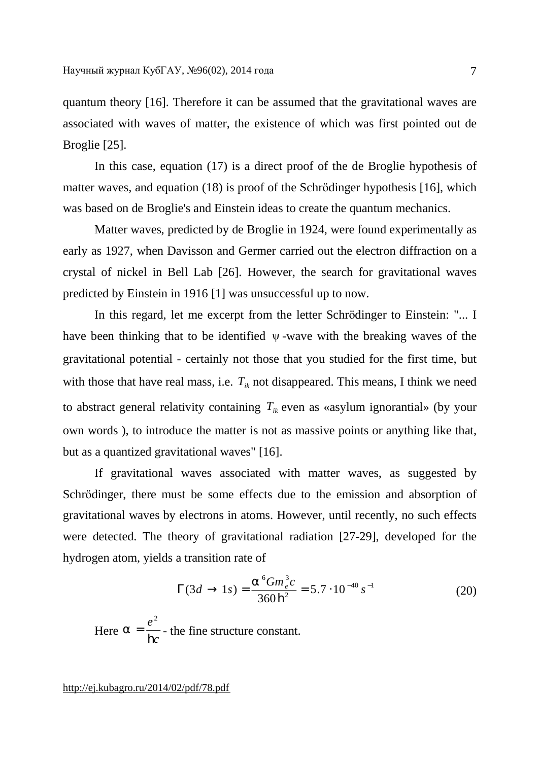quantum theory [16]. Therefore it can be assumed that the gravitational waves are associated with waves of matter, the existence of which was first pointed out de Broglie [25].

In this case, equation (17) is a direct proof of the de Broglie hypothesis of matter waves, and equation (18) is proof of the Schrödinger hypothesis [16], which was based on de Broglie's and Einstein ideas to create the quantum mechanics.

Matter waves, predicted by de Broglie in 1924, were found experimentally as early as 1927, when Davisson and Germer carried out the electron diffraction on a crystal of nickel in Bell Lab [26]. However, the search for gravitational waves predicted by Einstein in 1916 [1] was unsuccessful up to now.

In this regard, let me excerpt from the letter Schrödinger to Einstein: "... I have been thinking that to be identified ψ -wave with the breaking waves of the gravitational potential - certainly not those that you studied for the first time, but with those that have real mass, i.e.  $T_{ik}$  not disappeared. This means, I think we need to abstract general relativity containing  $T_{ik}$  even as «asylum ignorantial» (by your own words ), to introduce the matter is not as massive points or anything like that, but as a quantized gravitational waves" [16].

If gravitational waves associated with matter waves, as suggested by Schrödinger, there must be some effects due to the emission and absorption of gravitational waves by electrons in atoms. However, until recently, no such effects were detected. The theory of gravitational radiation [27-29], developed for the hydrogen atom, yields a transition rate of

$$
\Gamma(3d \to 1s) = \frac{a^6 G m_e^3 c}{360 \, \mathbf{h}^2} = 5.7 \cdot 10^{-40} \, s^{-1} \tag{20}
$$

Here *c e* h 2  $a = \frac{e}{L}$  - the fine structure constant.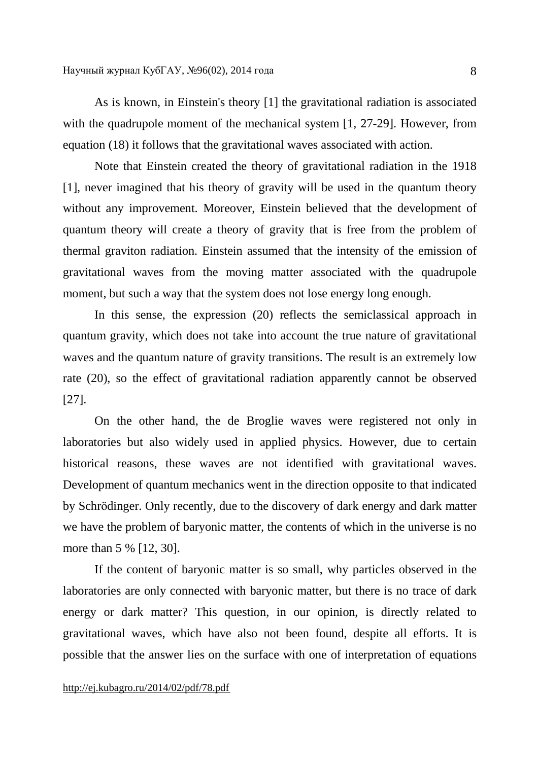As is known, in Einstein's theory [1] the gravitational radiation is associated with the quadrupole moment of the mechanical system [1, 27-29]. However, from equation (18) it follows that the gravitational waves associated with action.

Note that Einstein created the theory of gravitational radiation in the 1918 [1], never imagined that his theory of gravity will be used in the quantum theory without any improvement. Moreover, Einstein believed that the development of quantum theory will create a theory of gravity that is free from the problem of thermal graviton radiation. Einstein assumed that the intensity of the emission of gravitational waves from the moving matter associated with the quadrupole moment, but such a way that the system does not lose energy long enough.

In this sense, the expression (20) reflects the semiclassical approach in quantum gravity, which does not take into account the true nature of gravitational waves and the quantum nature of gravity transitions. The result is an extremely low rate (20), so the effect of gravitational radiation apparently cannot be observed [27].

On the other hand, the de Broglie waves were registered not only in laboratories but also widely used in applied physics. However, due to certain historical reasons, these waves are not identified with gravitational waves. Development of quantum mechanics went in the direction opposite to that indicated by Schrödinger. Only recently, due to the discovery of dark energy and dark matter we have the problem of baryonic matter, the contents of which in the universe is no more than 5 % [12, 30].

If the content of baryonic matter is so small, why particles observed in the laboratories are only connected with baryonic matter, but there is no trace of dark energy or dark matter? This question, in our opinion, is directly related to gravitational waves, which have also not been found, despite all efforts. It is possible that the answer lies on the surface with one of interpretation of equations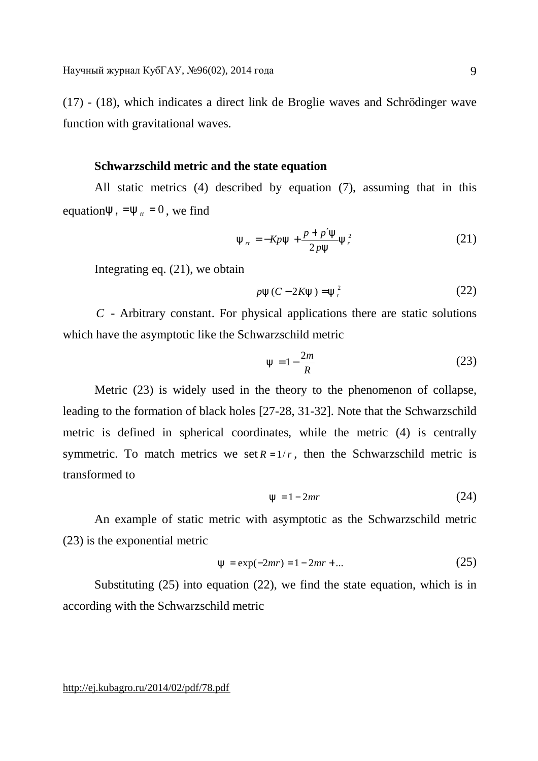(17) - (18), which indicates a direct link de Broglie waves and Schrödinger wave function with gravitational waves.

# **Schwarzschild metric and the state equation**

All static metrics (4) described by equation (7), assuming that in this equation $y_t = y_t = 0$ , we find

$$
y_{rr} = -Kpy + \frac{p + p'y}{2py}y_r^2
$$
 (21)

Integrating eq. (21), we obtain

$$
py(C-2Ky) = y_r^2 \tag{22}
$$

*C* - Arbitrary constant. For physical applications there are static solutions which have the asymptotic like the Schwarzschild metric

$$
y = 1 - \frac{2m}{R} \tag{23}
$$

Metric (23) is widely used in the theory to the phenomenon of collapse, leading to the formation of black holes [27-28, 31-32]. Note that the Schwarzschild metric is defined in spherical coordinates, while the metric (4) is centrally symmetric. To match metrics we set  $R = 1/r$ , then the Schwarzschild metric is transformed to

$$
y = 1 - 2mr \tag{24}
$$

An example of static metric with asymptotic as the Schwarzschild metric (23) is the exponential metric

$$
y = \exp(-2mr) = 1 - 2mr + \dots
$$
 (25)

Substituting (25) into equation (22), we find the state equation, which is in according with the Schwarzschild metric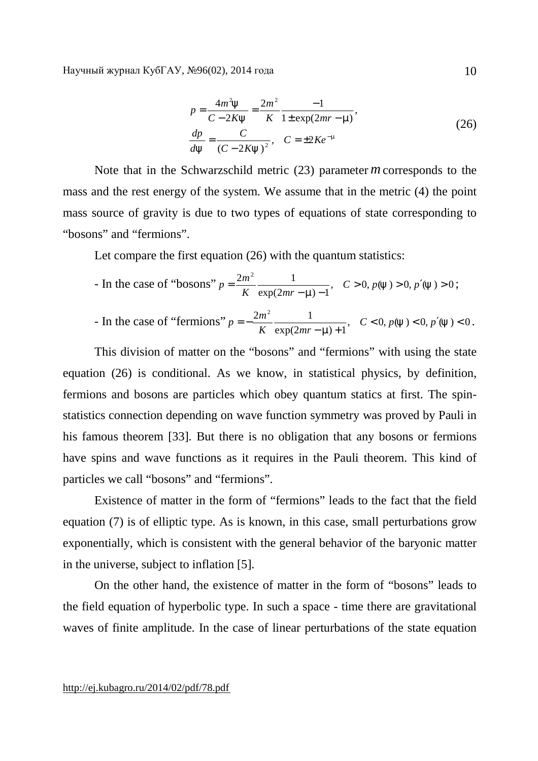Научный журнал КубГАУ, №96(02), 2014 года

$$
p = \frac{4m^2y}{C - 2Ky} = \frac{2m^2}{K} \frac{-1}{1 \pm \exp(2mr - m)},
$$
  
\n
$$
\frac{dp}{dy} = \frac{C}{(C - 2Ky)^2}, \quad C = \pm 2Ke^{-m}
$$
\n(26)

Note that in the Schwarzschild metric (23) parameter *m* corresponds to the mass and the rest energy of the system. We assume that in the metric (4) the point mass source of gravity is due to two types of equations of state corresponding to "bosons" and "fermions".

Let compare the first equation (26) with the quantum statistics:

- In the case of "bosons" 
$$
p = \frac{2m^2}{K} \frac{1}{\exp(2mr - m) - 1}
$$
,  $C > 0$ ,  $p(y) > 0$ ,  $p'(y) > 0$ ;

In the case of "fermions" 
$$
p = -\frac{2m^2}{K} \frac{1}{\exp(2mr - m) + 1}
$$
,  $C < 0$ ,  $p(y) < 0$ ,  $p'(y) < 0$ .

This division of matter on the "bosons" and "fermions" with using the state equation (26) is conditional. As we know, in statistical physics, by definition, fermions and bosons are particles which obey quantum statics at first. The spinstatistics connection depending on wave function symmetry was proved by Pauli in his famous theorem [33]. But there is no obligation that any bosons or fermions have spins and wave functions as it requires in the Pauli theorem. This kind of particles we call "bosons" and "fermions".

Existence of matter in the form of "fermions" leads to the fact that the field equation (7) is of elliptic type. As is known, in this case, small perturbations grow exponentially, which is consistent with the general behavior of the baryonic matter in the universe, subject to inflation [5].

On the other hand, the existence of matter in the form of "bosons" leads to the field equation of hyperbolic type. In such a space - time there are gravitational waves of finite amplitude. In the case of linear perturbations of the state equation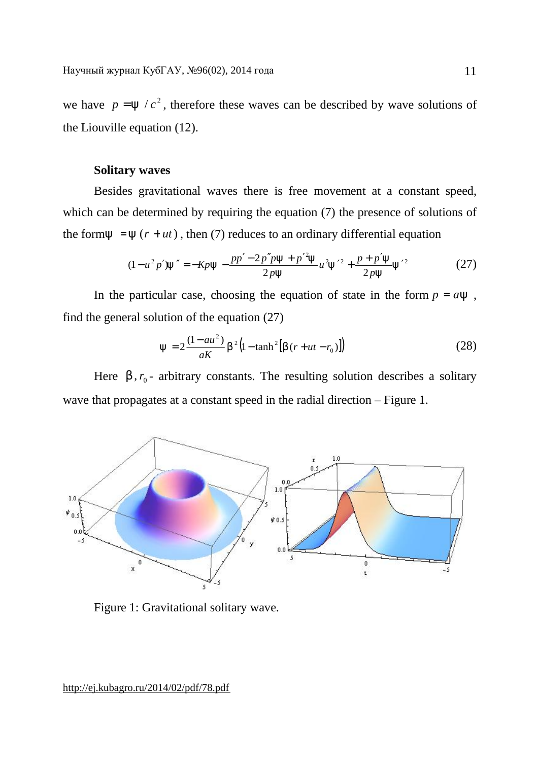we have  $p = y / c^2$ , therefore these waves can be described by wave solutions of the Liouville equation (12).

# **Solitary waves**

Besides gravitational waves there is free movement at a constant speed, which can be determined by requiring the equation (7) the presence of solutions of the form  $y = y(r + ut)$ , then (7) reduces to an ordinary differential equation

$$
(1 - u2 p')y'' = -Kpy - \frac{pp' - 2p''py + p'^2y}{2py}u^2y'^2 + \frac{p + p'y}{2py}y'^2
$$
 (27)

In the particular case, choosing the equation of state in the form  $p = ay$ , find the general solution of the equation (27)

$$
y = 2\frac{(1 - au^2)}{aK}b^2\left(1 - \tanh^2[b(r + ut - r_0)]\right)
$$
 (28)

Here  $b$ ,  $r_0$ - arbitrary constants. The resulting solution describes a solitary wave that propagates at a constant speed in the radial direction – Figure 1.



Figure 1: Gravitational solitary wave.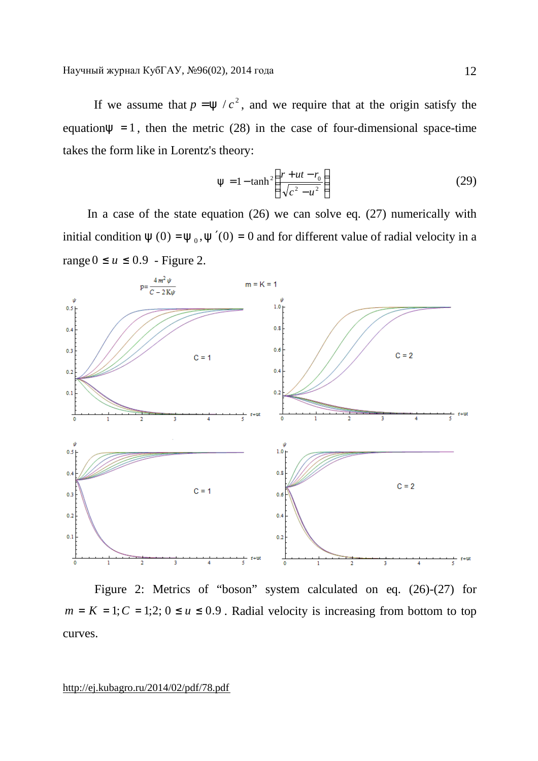If we assume that  $p = y / c^2$ , and we require that at the origin satisfy the equation $y = 1$ , then the metric (28) in the case of four-dimensional space-time takes the form like in Lorentz's theory:

$$
y = 1 - \tanh^2\left(\frac{r + ut - r_0}{\sqrt{c^2 - u^2}}\right)
$$
 (29)

In a case of the state equation  $(26)$  we can solve eq.  $(27)$  numerically with initial condition  $y(0) = y_0$ ,  $y'(0) = 0$  and for different value of radial velocity in a range  $0 \le u \le 0.9$  - Figure 2.



Figure 2: Metrics of "boson" system calculated on eq. (26)-(27) for  $m = K = 1$ ;  $C = 1$ ;  $2$ ;  $0 \le u \le 0.9$ . Radial velocity is increasing from bottom to top curves.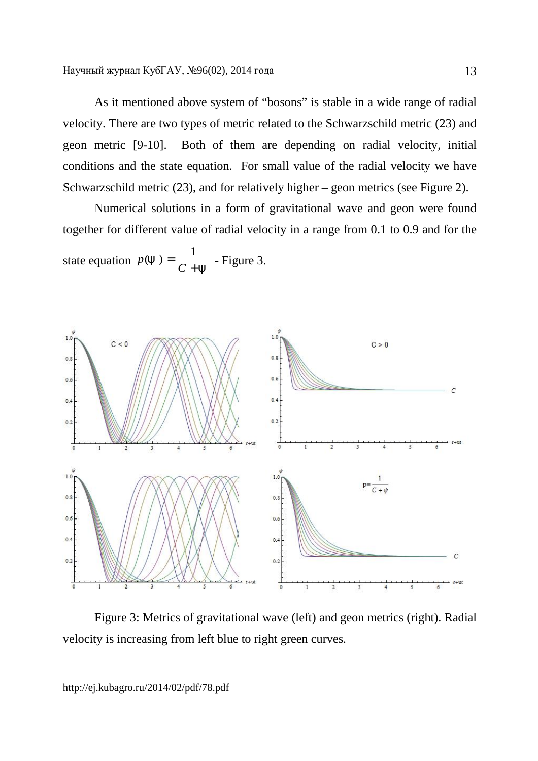As it mentioned above system of "bosons" is stable in a wide range of radial velocity. There are two types of metric related to the Schwarzschild metric (23) and geon metric [9-10]. Both of them are depending on radial velocity, initial conditions and the state equation. For small value of the radial velocity we have Schwarzschild metric (23), and for relatively higher – geon metrics (see Figure 2).

Numerical solutions in a form of gravitational wave and geon were found together for different value of radial velocity in a range from 0.1 to 0.9 and for the state equation *y y* + = *C p* 1  $(y) = \frac{1}{y}$  - Figure 3.



Figure 3: Metrics of gravitational wave (left) and geon metrics (right). Radial velocity is increasing from left blue to right green curves.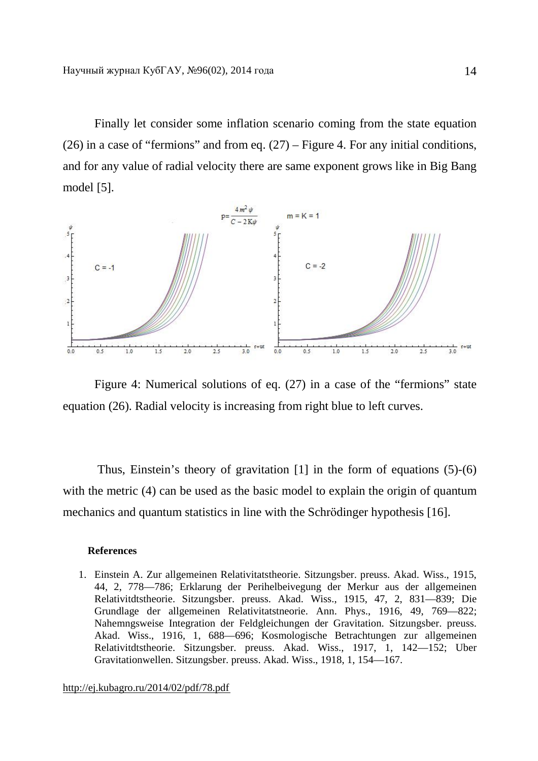Finally let consider some inflation scenario coming from the state equation (26) in a case of "fermions" and from eq.  $(27)$  – Figure 4. For any initial conditions, and for any value of radial velocity there are same exponent grows like in Big Bang model [5].



Figure 4: Numerical solutions of eq. (27) in a case of the "fermions" state equation (26). Radial velocity is increasing from right blue to left curves.

Thus, Einstein's theory of gravitation [1] in the form of equations (5)-(6) with the metric (4) can be used as the basic model to explain the origin of quantum mechanics and quantum statistics in line with the Schrödinger hypothesis [16].

#### **References**

1. Einstein A. Zur allgemeinen Relativitatstheorie. Sitzungsber. preuss. Akad. Wiss., 1915, 44, 2, 778—786; Erklarung der Perihelbeivegung der Merkur aus der allgemeinen Relativitdtstheorie. Sitzungsber. preuss. Akad. Wiss., 1915, 47, 2, 831—839; Die Grundlage der allgemeinen Relativitatstneorie. Ann. Phys., 1916, 49, 769—822; Nahemngsweise Integration der Feldgleichungen der Gravitation. Sitzungsber. preuss. Akad. Wiss., 1916, 1, 688—696; Kosmologische Betrachtungen zur allgemeinen Relativitdtstheorie. Sitzungsber. preuss. Akad. Wiss., 1917, 1, 142—152; Uber Gravitationwellen. Sitzungsber. preuss. Akad. Wiss., 1918, 1, 154—167.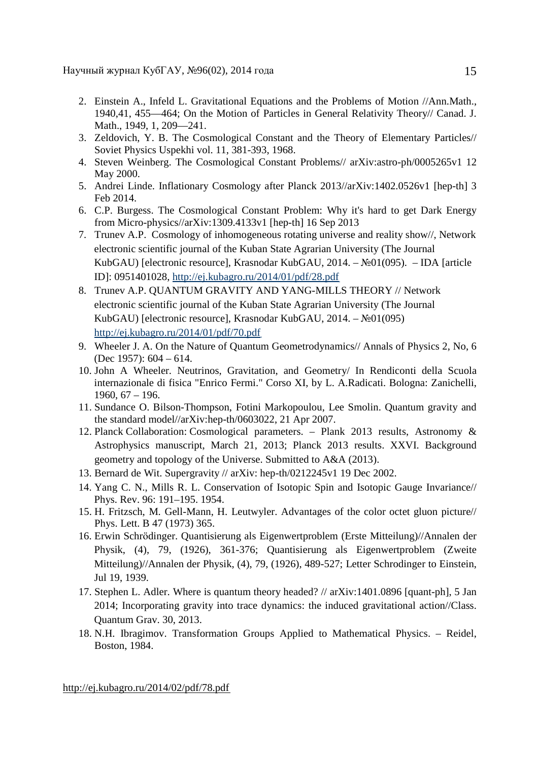Научный журнал КубГАУ, №96(02), 2014 года

- 2. Einstein A., Infeld L. Gravitational Equations and the Problems of Motion //Ann.Math., 1940,41, 455—464; On the Motion of Particles in General Relativity Theory// Canad. J. Math., 1949, 1, 209—241.
- 3. Zeldovich, Y. B. The Cosmological Constant and the Theory of Elementary Particles// Soviet Physics Uspekhi vol. 11, 381-393, 1968.
- 4. Steven Weinberg. The Cosmological Constant Problems// arXiv:astro-ph/0005265v1 12 May 2000.
- 5. Andrei Linde. Inflationary Cosmology after Planck 2013//arXiv:1402.0526v1 [hep-th] 3 Feb 2014.
- 6. C.P. Burgess. The Cosmological Constant Problem: Why it's hard to get Dark Energy from Micro-physics//arXiv:1309.4133v1 [hep-th] 16 Sep 2013
- 7. Trunev A.P. Cosmology of inhomogeneous rotating universe and reality show//, Network electronic scientific journal of the Kuban State Agrarian University (The Journal KubGAU) [electronic resource], Krasnodar KubGAU, 2014. – №01(095). – IDA [article ID]: 0951401028, <http://ej.kubagro.ru/2014/01/pdf/28.pdf>
- 8. Trunev A.P. QUANTUM GRAVITY AND YANG-MILLS THEORY // Network electronic scientific journal of the Kuban State Agrarian University (The Journal KubGAU) [electronic resource], Krasnodar KubGAU, 2014. – №01(095) <http://ej.kubagro.ru/2014/01/pdf/70.pdf>
- 9. Wheeler J. A. On the Nature of Quantum Geometrodynamics// Annals of Physics 2, No, 6 (Dec 1957): 604 – 614.
- 10. John A Wheeler. Neutrinos, Gravitation, and Geometry/ In Rendiconti della Scuola internazionale di fisica "Enrico Fermi." Corso XI, by L. A.Radicati. Bologna: Zanichelli, 1960, 67 – 196.
- 11. Sundance O. Bilson-Thompson, Fotini Markopoulou, Lee Smolin. Quantum gravity and the standard model//arXiv:hep-th/0603022, 21 Apr 2007.
- 12. Planck Collaboration: Cosmological parameters. Plank 2013 results, Astronomy & Astrophysics manuscript, March 21, 2013; Planck 2013 results. XXVI. Background geometry and topology of the Universe. Submitted to A&A (2013).
- 13. Bernard de Wit. Supergravity // arXiv: hep-th/0212245v1 19 Dec 2002.
- 14. Yang C. N., Mills R. L. Conservation of Isotopic Spin and Isotopic Gauge Invariance// Phys. Rev. 96: 191–195. 1954.
- 15. H. Fritzsch, M. Gell-Mann, H. Leutwyler. Advantages of the color octet gluon picture// Phys. Lett. B 47 (1973) 365.
- 16. Erwin Schrödinger. Quantisierung als Eigenwertproblem (Erste Mitteilung)//Annalen der Physik, (4), 79, (1926), 361-376; Quantisierung als Eigenwertproblem (Zweite Mitteilung)//Annalen der Physik, (4), 79, (1926), 489-527; Letter Schrodinger to Einstein, Jul 19, 1939.
- 17. Stephen L. Adler. Where is quantum theory headed? // arXiv:1401.0896 [quant-ph], 5 Jan 2014; Incorporating gravity into trace dynamics: the induced gravitational action//Class. Quantum Grav. 30, 2013.
- 18. N.H. Ibragimov. Transformation Groups Applied to Mathematical Physics. Reidel, Boston, 1984.